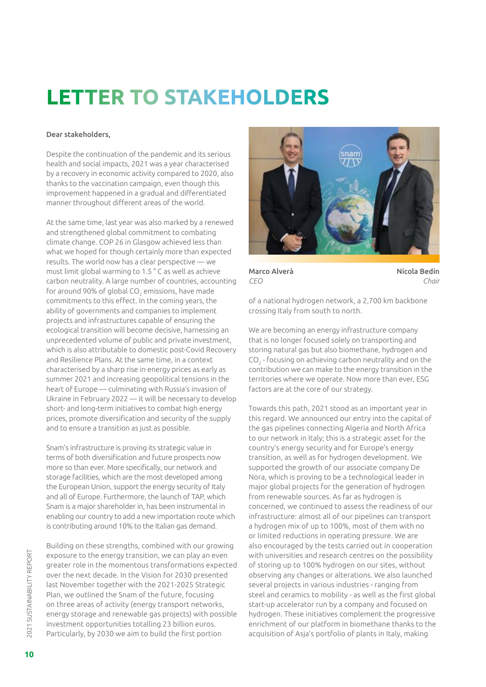## **LETTER TO STAKEHOLDERS**

## Dear stakeholders,

Despite the continuation of the pandemic and its serious health and social impacts, 2021 was a year characterised by a recovery in economic activity compared to 2020, also thanks to the vaccination campaign, even though this improvement happened in a gradual and differentiated manner throughout different areas of the world.

At the same time, last year was also marked by a renewed and strengthened global commitment to combating climate change. COP 26 in Glasgow achieved less than what we hoped for though certainly more than expected results. The world now has a clear perspective — we must limit global warming to 1.5 ° C as well as achieve carbon neutrality. A large number of countries, accounting for around 90% of global CO $_{\textrm{\tiny{2}}}$  emissions, have made commitments to this effect. In the coming years, the ability of governments and companies to implement projects and infrastructures capable of ensuring the ecological transition will become decisive, harnessing an unprecedented volume of public and private investment, which is also attributable to domestic post-Covid Recovery and Resilience Plans. At the same time, in a context characterised by a sharp rise in energy prices as early as summer 2021 and increasing geopolitical tensions in the heart of Europe — culminating with Russia's invasion of Ukraine in February 2022 — it will be necessary to develop short- and long-term initiatives to combat high energy prices, promote diversification and security of the supply and to ensure a transition as just as possible.

Snam's infrastructure is proving its strategic value in terms of both diversification and future prospects now more so than ever. More specifically, our network and storage facilities, which are the most developed among the European Union, support the energy security of Italy and all of Europe. Furthermore, the launch of TAP, which Snam is a major shareholder in, has been instrumental in enabling our country to add a new importation route which is contributing around 10% to the Italian gas demand.

Building on these strengths, combined with our growing exposure to the energy transition, we can play an even greater role in the momentous transformations expected over the next decade. In the Vision for 2030 presented last November together with the 2021-2025 Strategic Plan, we outlined the Snam of the future, focusing on three areas of activity (energy transport networks, energy storage and renewable gas projects) with possible investment opportunities totalling 23 billion euros. Particularly, by 2030 we aim to build the first portion



Marco Alverà *CEO*

Nicola Bedin *Chair*

of a national hydrogen network, a 2,700 km backbone crossing Italy from south to north.

We are becoming an energy infrastructure company that is no longer focused solely on transporting and storing natural gas but also biomethane, hydrogen and  $\mathsf{CO}_2$  - focusing on achieving carbon neutrality and on the contribution we can make to the energy transition in the territories where we operate. Now more than ever, ESG factors are at the core of our strategy.

Towards this path, 2021 stood as an important year in this regard. We announced our entry into the capital of the gas pipelines connecting Algeria and North Africa to our network in Italy; this is a strategic asset for the country's energy security and for Europe's energy transition, as well as for hydrogen development. We supported the growth of our associate company De Nora, which is proving to be a technological leader in major global projects for the generation of hydrogen from renewable sources. As far as hydrogen is concerned, we continued to assess the readiness of our infrastructure: almost all of our pipelines can transport a hydrogen mix of up to 100%, most of them with no or limited reductions in operating pressure. We are also encouraged by the tests carried out in cooperation with universities and research centres on the possibility of storing up to 100% hydrogen on our sites, without observing any changes or alterations. We also launched several projects in various industries - ranging from steel and ceramics to mobility - as well as the first global start-up accelerator run by a company and focused on hydrogen. These initiatives complement the progressive enrichment of our platform in biomethane thanks to the acquisition of Asja's portfolio of plants in Italy, making